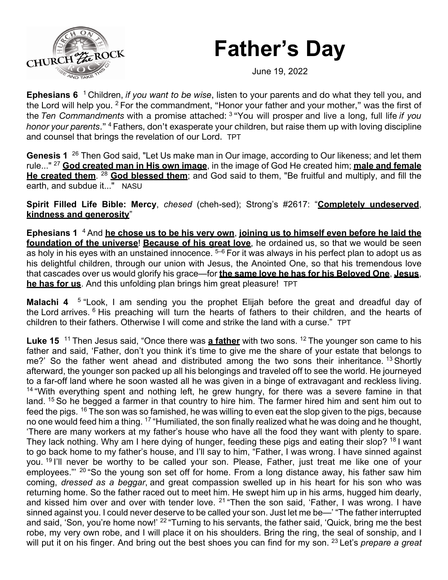## **Father's Day**



June 19, 2022

**Ephesians 6** <sup>1</sup> Children, *if you want to be wise*, listen to your parents and do what they tell you, and the Lord will help you. <sup>2</sup> For the commandment, "Honor your father and your mother," was the first of the *Ten Commandments* with a promise attached: <sup>3</sup> "You will prosper and live a long, full life *if you honor your parents*." <sup>4</sup> Fathers, don't exasperate your children, but raise them up with loving discipline and counsel that brings the revelation of our Lord. TPT

**Genesis 1** 26 Then God said, "Let Us make man in Our image, according to Our likeness; and let them rule..." 27 **God created man in His own image**, in the image of God He created him; **male and female He created them**. 28 **God blessed them**; and God said to them, "Be fruitful and multiply, and fill the earth, and subdue it..." NASU

**Spirit Filled Life Bible: Mercy**, *chesed* (cheh-sed); Strong's #2617: "**Completely undeserved**, **kindness and generosity**"

**Ephesians 1** 4 And **he chose us to be his very own**, **joining us to himself even before he laid the foundation of the universe**! **Because of his great love**, he ordained us, so that we would be seen as holy in his eyes with an unstained innocence.  $5-6$  For it was always in his perfect plan to adopt us as his delightful children, through our union with Jesus, the Anointed One, so that his tremendous love that cascades over us would glorify his grace—for **the same love he has for his Beloved One**, **Jesus**, **he has for us**. And this unfolding plan brings him great pleasure! TPT

**Malachi 4** 5 "Look, I am sending you the prophet Elijah before the great and dreadful day of the Lord arrives. <sup>6</sup> His preaching will turn the hearts of fathers to their children, and the hearts of children to their fathers. Otherwise I will come and strike the land with a curse." TPT

Luke 15<sup>11</sup> Then Jesus said, "Once there was a father with two sons.<sup>12</sup> The younger son came to his father and said, 'Father, don't you think it's time to give me the share of your estate that belongs to me?' So the father went ahead and distributed among the two sons their inheritance. <sup>13</sup> Shortly afterward, the younger son packed up all his belongings and traveled off to see the world. He journeyed to a far-off land where he soon wasted all he was given in a binge of extravagant and reckless living.  $14$  "With everything spent and nothing left, he grew hungry, for there was a severe famine in that land. <sup>15</sup> So he begged a farmer in that country to hire him. The farmer hired him and sent him out to feed the pigs. <sup>16</sup> The son was so famished, he was willing to even eat the slop given to the pigs, because no one would feed him a thing. 17 "Humiliated, the son finally realized what he was doing and he thought, 'There are many workers at my father's house who have all the food they want with plenty to spare. They lack nothing. Why am I here dying of hunger, feeding these pigs and eating their slop? <sup>18</sup> I want to go back home to my father's house, and I'll say to him, "Father, I was wrong. I have sinned against you. <sup>19</sup> I'll never be worthy to be called your son. Please, Father, just treat me like one of your employees."' 20 "So the young son set off for home. From a long distance away, his father saw him coming, *dressed as a beggar*, and great compassion swelled up in his heart for his son who was returning home. So the father raced out to meet him. He swept him up in his arms, hugged him dearly, and kissed him over and over with tender love. <sup>21</sup> "Then the son said, 'Father, I was wrong. I have sinned against you. I could never deserve to be called your son. Just let me be—' "The father interrupted and said, 'Son, you're home now!' <sup>22</sup> "Turning to his servants, the father said, 'Quick, bring me the best robe, my very own robe, and I will place it on his shoulders. Bring the ring, the seal of sonship, and I will put it on his finger. And bring out the best shoes you can find for my son. <sup>23</sup> Let's *prepare a great*